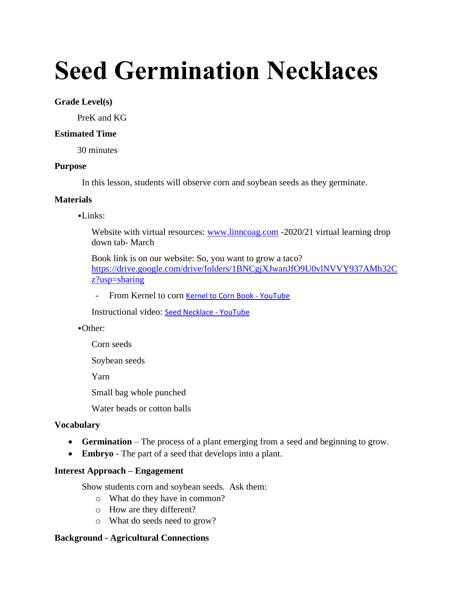# **Seed Germination Necklaces**

## **Grade Level(s)**

PreK and KG

## **Estimated Time**

30 minutes

#### **Purpose**

In this lesson, students will observe corn and soybean seeds as they germinate.

## **Materials**

## $-Links:$

Website with virtual resources: [www.linncoag.com](http://www.linncoag.com/) -2020/21 virtual learning drop down tab- March

Book link is on our website: So, you want to grow a taco? [https://drive.google.com/drive/folders/1BNCgjXJwanJfO9U0vlNVVY937AMh32C](https://drive.google.com/drive/folders/1BNCgjXJwanJfO9U0vlNVVY937AMh32Cz?usp=sharing) [z?usp=sharing](https://drive.google.com/drive/folders/1BNCgjXJwanJfO9U0vlNVVY937AMh32Cz?usp=sharing)

- From Kernel to corn [Kernel to Corn Book -](https://www.youtube.com/watch?v=j3oCVA4DEVs) YouTube

Instructional video: [Seed Necklace -](https://www.youtube.com/watch?v=y7QYCYDkAoc) YouTube

#### ▪Other:

Corn seeds

Soybean seeds

Yarn

Small bag whole punched

Water beads or cotton balls

#### **Vocabulary**

- **Germination** The process of a plant emerging from a seed and beginning to grow.
- **Embryo**  The part of a seed that develops into a plant.

#### **Interest Approach – Engagement**

Show students corn and soybean seeds. Ask them:

- o What do they have in common?
- o How are they different?
- o What do seeds need to grow?

# **Background - Agricultural Connections**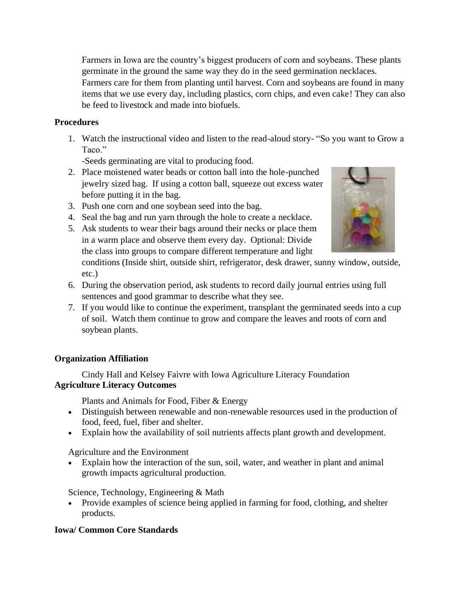Farmers in Iowa are the country's biggest producers of corn and soybeans. These plants germinate in the ground the same way they do in the seed germination necklaces.

Farmers care for them from planting until harvest. Corn and soybeans are found in many items that we use every day, including plastics, corn chips, and even cake! They can also be feed to livestock and made into biofuels.

# **Procedures**

1. Watch the instructional video and listen to the read-aloud story- "So you want to Grow a Taco."

-Seeds germinating are vital to producing food.

- 2. Place moistened water beads or cotton ball into the hole-punched jewelry sized bag. If using a cotton ball, squeeze out excess water before putting it in the bag.
- 3. Push one corn and one soybean seed into the bag.
- 4. Seal the bag and run yarn through the hole to create a necklace.
- 5. Ask students to wear their bags around their necks or place them in a warm place and observe them every day. Optional: Divide the class into groups to compare different temperature and light

conditions (Inside shirt, outside shirt, refrigerator, desk drawer, sunny window, outside, etc.)

- 6. During the observation period, ask students to record daily journal entries using full sentences and good grammar to describe what they see.
- 7. If you would like to continue the experiment, transplant the germinated seeds into a cup of soil. Watch them continue to grow and compare the leaves and roots of corn and soybean plants.

# **Organization Affiliation**

Cindy Hall and Kelsey Faivre with Iowa Agriculture Literacy Foundation **Agriculture Literacy Outcomes**

Plants and Animals for Food, Fiber & Energy

- Distinguish between renewable and non-renewable resources used in the production of food, feed, fuel, fiber and shelter.
- Explain how the availability of soil nutrients affects plant growth and development.

Agriculture and the Environment

• Explain how the interaction of the sun, soil, water, and weather in plant and animal growth impacts agricultural production.

Science, Technology, Engineering & Math

• Provide examples of science being applied in farming for food, clothing, and shelter products.

# **Iowa/ Common Core Standards**